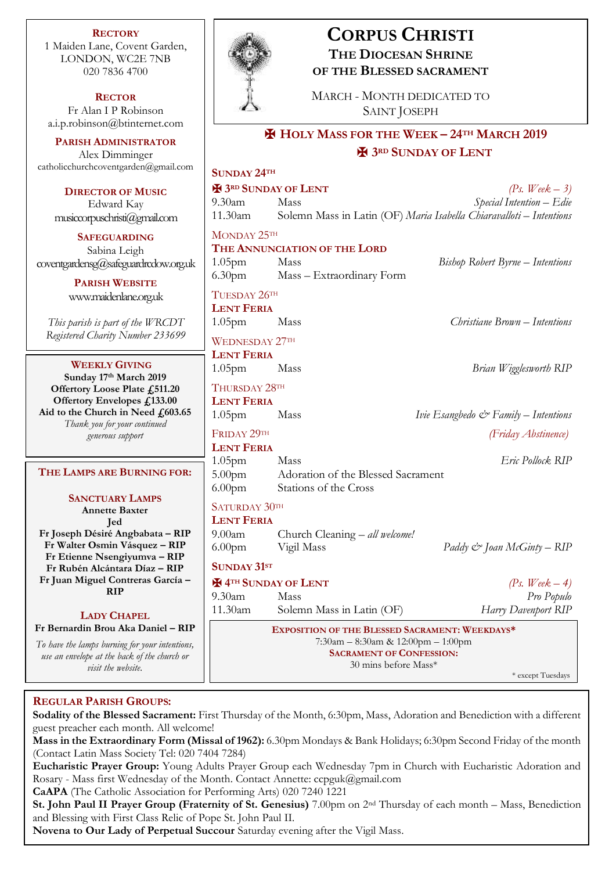**RECTORY** 1 Maiden Lane, Covent Garden, LONDON, WC2E 7NB 020 7836 4700

**RECTOR** Fr Alan I P Robinson [a.i.p.robinson@btinternet.com](mailto:a.i.p.robinson@btinternet.com)

**PARISH ADMINISTRATOR** Alex Dimminger [catholicchurchcoventgarden@gmail.com](mailto:catholicchurchcoventgarden@gmail.com)

**DIRECTOR OF MUSIC** Edward Kay musiccorpuschristi@gmail.com

**SAFEGUARDING** Sabina Leigh [coventgardensg@safeguardrcdow.org.uk](mailto:coventgardensg@safeguardrcdow.org.uk)

> **PARISH WEBSITE** [www.maidenlane.org.uk](http://www.maidenlane.org.uk/)

*This parish is part of the WRCDT Registered Charity Number 233699*

## **WEEKLY GIVING**

**Sunday 17th March 2019 Offertory Loose Plate £511.20 Offertory Envelopes £133.00 Aid to the Church in Need £603.65** *Thank you for your continued generous support*

## **THE LAMPS ARE BURNING FOR:**

**SANCTUARY LAMPS Annette Baxter Jed Fr Joseph Désiré Angbabata – RIP Fr Walter Osmin Vásquez – RIP Fr Etienne Nsengiyumva – RIP Fr Rubén Alcántara Díaz – RIP Fr Juan Miguel Contreras García – RIP**

## **LADY CHAPEL**

**Fr Bernardin Brou Aka Daniel – RIP** *To have the lamps burning for your intentions,* 

*use an envelope at the back of the church or visit the website.*



**CORPUS CHRISTI**

## **REGULAR PARISH GROUPS:**

**Sodality of the Blessed Sacrament:** First Thursday of the Month, 6:30pm, Mass, Adoration and Benediction with a different guest preacher each month. All welcome!

**Mass in the Extraordinary Form (Missal of 1962):** 6.30pm Mondays & Bank Holidays; 6:30pm Second Friday of the month (Contact Latin Mass Society Tel: 020 7404 7284)

**Eucharistic Prayer Group:** Young Adults Prayer Group each Wednesday 7pm in Church with Eucharistic Adoration and Rosary - Mass first Wednesday of the Month. Contact Annette: ccpguk@gmail.com

**CaAPA** (The Catholic Association for Performing Arts) 020 7240 1221

**St. John Paul II Prayer Group (Fraternity of St. Genesius)** 7.00pm on 2nd Thursday of each month – Mass, Benediction and Blessing with First Class Relic of Pope St. John Paul II.

**Novena to Our Lady of Perpetual Succour** Saturday evening after the Vigil Mass.